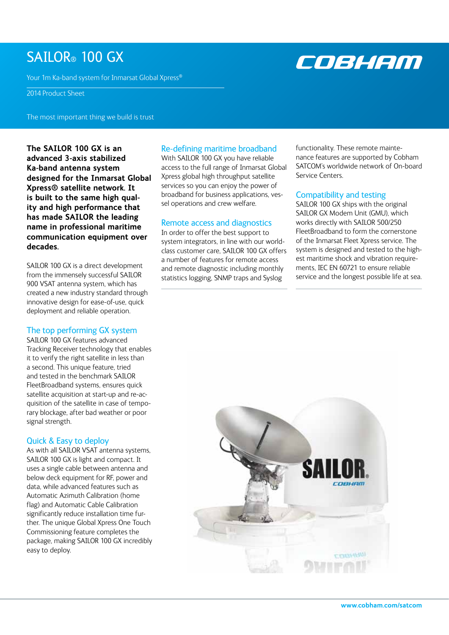# SAILOR<sup>®</sup> 100 GX

Your 1m Ka-band system for Inmarsat Global Xpress®

## 2014 Product Sheet

The most important thing we build is trust

**The SAILOR 100 GX is an advanced 3-axis stabilized Ka-band antenna system designed for the Inmarsat Global Xpress® satellite network. It is built to the same high quality and high performance that has made SAILOR the leading name in professional maritime communication equipment over decades.** 

SAILOR 100 GX is a direct development from the immensely successful SAILOR 900 VSAT antenna system, which has created a new industry standard through innovative design for ease-of-use, quick deployment and reliable operation.

#### The top performing GX system

SAILOR 100 GX features advanced Tracking Receiver technology that enables it to verify the right satellite in less than a second. This unique feature, tried and tested in the benchmark SAILOR FleetBroadband systems, ensures quick satellite acquisition at start-up and re-acquisition of the satellite in case of temporary blockage, after bad weather or poor signal strength.

### Quick & Easy to deploy

As with all SAILOR VSAT antenna systems, SAILOR 100 GX is light and compact. It uses a single cable between antenna and below deck equipment for RF, power and data, while advanced features such as Automatic Azimuth Calibration (home flag) and Automatic Cable Calibration significantly reduce installation time further. The unique Global Xpress One Touch Commissioning feature completes the package, making SAILOR 100 GX incredibly easy to deploy.

# Re-defining maritime broadband

With SAILOR 100 GX you have reliable access to the full range of Inmarsat Global Xpress global high throughput satellite services so you can enjoy the power of broadband for business applications, vessel operations and crew welfare.

# Remote access and diagnostics

In order to offer the best support to system integrators, in line with our worldclass customer care, SAILOR 100 GX offers a number of features for remote access and remote diagnostic including monthly statistics logging, SNMP traps and Syslog

functionality. These remote maintenance features are supported by Cobham SATCOM's worldwide network of On-board Service Centers.

#### Compatibility and testing

SAILOR 100 GX ships with the original SAILOR GX Modem Unit (GMU), which works directly with SAILOR 500/250 FleetBroadband to form the cornerstone of the Inmarsat Fleet Xpress service. The system is designed and tested to the highest maritime shock and vibration requirements, IEC EN 60721 to ensure reliable service and the longest possible life at sea.